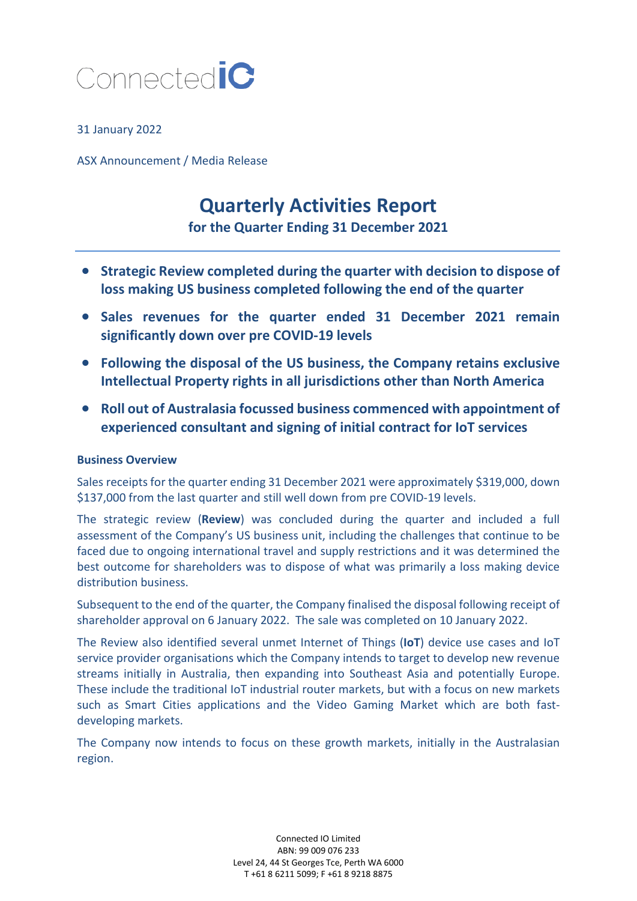

## 31 January 2022

ASX Announcement / Media Release

# **Quarterly Activities Report**

**for the Quarter Ending 31 December 2021**

- **Strategic Review completed during the quarter with decision to dispose of loss making US business completed following the end of the quarter**
- **Sales revenues for the quarter ended 31 December 2021 remain significantly down over pre COVID-19 levels**
- **Following the disposal of the US business, the Company retains exclusive Intellectual Property rights in all jurisdictions other than North America**
- **Roll out of Australasia focussed business commenced with appointment of experienced consultant and signing of initial contract for IoT services**

## **Business Overview**

Sales receipts for the quarter ending 31 December 2021 were approximately \$319,000, down \$137,000 from the last quarter and still well down from pre COVID-19 levels.

The strategic review (**Review**) was concluded during the quarter and included a full assessment of the Company's US business unit, including the challenges that continue to be faced due to ongoing international travel and supply restrictions and it was determined the best outcome for shareholders was to dispose of what was primarily a loss making device distribution business.

Subsequent to the end of the quarter, the Company finalised the disposal following receipt of shareholder approval on 6 January 2022. The sale was completed on 10 January 2022.

The Review also identified several unmet Internet of Things (**IoT**) device use cases and IoT service provider organisations which the Company intends to target to develop new revenue streams initially in Australia, then expanding into Southeast Asia and potentially Europe. These include the traditional IoT industrial router markets, but with a focus on new markets such as Smart Cities applications and the Video Gaming Market which are both fastdeveloping markets.

The Company now intends to focus on these growth markets, initially in the Australasian region.

> Connected IO Limited ABN: 99 009 076 233 Level 24, 44 St Georges Tce, Perth WA 6000 T +61 8 6211 5099; F +61 8 9218 8875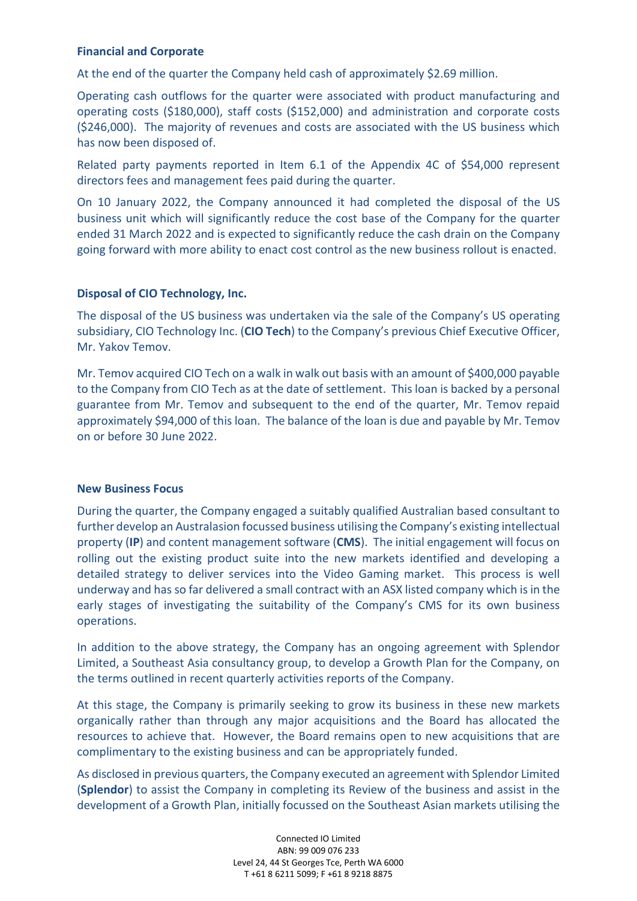### **Financial and Corporate**

At the end of the quarter the Company held cash of approximately \$2.69 million.

Operating cash outflows for the quarter were associated with product manufacturing and operating costs (\$180,000), staff costs (\$152,000) and administration and corporate costs (\$246,000). The majority of revenues and costs are associated with the US business which has now been disposed of.

Related party payments reported in Item 6.1 of the Appendix 4C of \$54,000 represent directors fees and management fees paid during the quarter.

On 10 January 2022, the Company announced it had completed the disposal of the US business unit which will significantly reduce the cost base of the Company for the quarter ended 31 March 2022 and is expected to significantly reduce the cash drain on the Company going forward with more ability to enact cost control as the new business rollout is enacted.

## **Disposal of CIO Technology, Inc.**

The disposal of the US business was undertaken via the sale of the Company's US operating subsidiary, CIO Technology Inc. (**CIO Tech**) to the Company's previous Chief Executive Officer, Mr. Yakov Temov.

Mr. Temov acquired CIO Tech on a walk in walk out basis with an amount of \$400,000 payable to the Company from CIO Tech as at the date of settlement. This loan is backed by a personal guarantee from Mr. Temov and subsequent to the end of the quarter, Mr. Temov repaid approximately \$94,000 of this loan. The balance of the loan is due and payable by Mr. Temov on or before 30 June 2022.

## **New Business Focus**

During the quarter, the Company engaged a suitably qualified Australian based consultant to further develop an Australasion focussed business utilising the Company's existing intellectual property (**IP**) and content management software (**CMS**). The initial engagement will focus on rolling out the existing product suite into the new markets identified and developing a detailed strategy to deliver services into the Video Gaming market. This process is well underway and has so far delivered a small contract with an ASX listed company which is in the early stages of investigating the suitability of the Company's CMS for its own business operations.

In addition to the above strategy, the Company has an ongoing agreement with Splendor Limited, a Southeast Asia consultancy group, to develop a Growth Plan for the Company, on the terms outlined in recent quarterly activities reports of the Company.

At this stage, the Company is primarily seeking to grow its business in these new markets organically rather than through any major acquisitions and the Board has allocated the resources to achieve that. However, the Board remains open to new acquisitions that are complimentary to the existing business and can be appropriately funded.

As disclosed in previous quarters, the Company executed an agreement with Splendor Limited (**Splendor**) to assist the Company in completing its Review of the business and assist in the development of a Growth Plan, initially focussed on the Southeast Asian markets utilising the

> Connected IO Limited ABN: 99 009 076 233 Level 24, 44 St Georges Tce, Perth WA 6000 T +61 8 6211 5099; F +61 8 9218 8875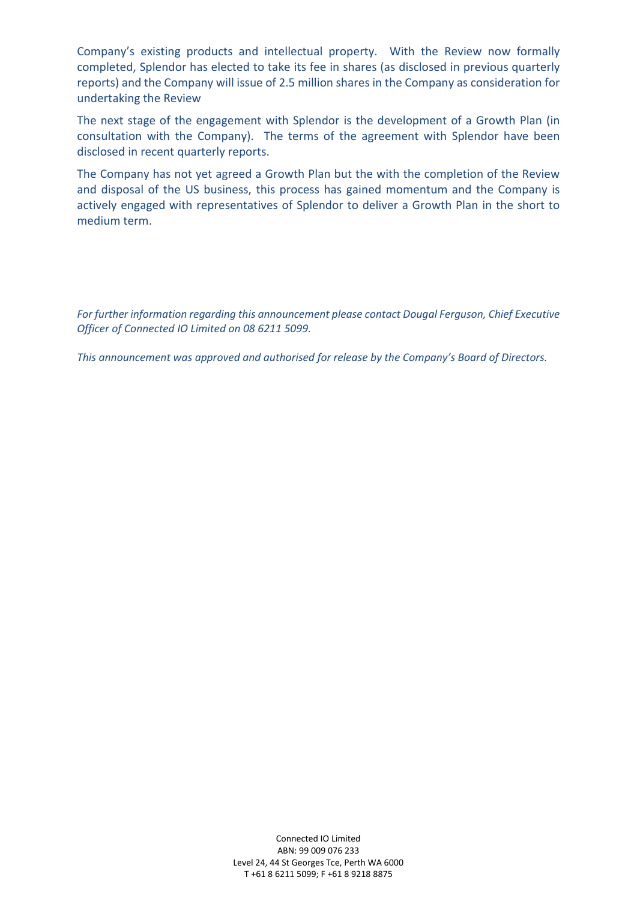Company's existing products and intellectual property. With the Review now formally completed, Splendor has elected to take its fee in shares (as disclosed in previous quarterly reports) and the Company will issue of 2.5 million shares in the Company as consideration for undertaking the Review

The next stage of the engagement with Splendor is the development of a Growth Plan (in consultation with the Company). The terms of the agreement with Splendor have been disclosed in recent quarterly reports.

The Company has not yet agreed a Growth Plan but the with the completion of the Review and disposal of the US business, this process has gained momentum and the Company is actively engaged with representatives of Splendor to deliver a Growth Plan in the short to medium term.

*For further information regarding this announcement please contact Dougal Ferguson, Chief Executive Officer of Connected IO Limited on 08 6211 5099.*

*This announcement was approved and authorised for release by the Company's Board of Directors.*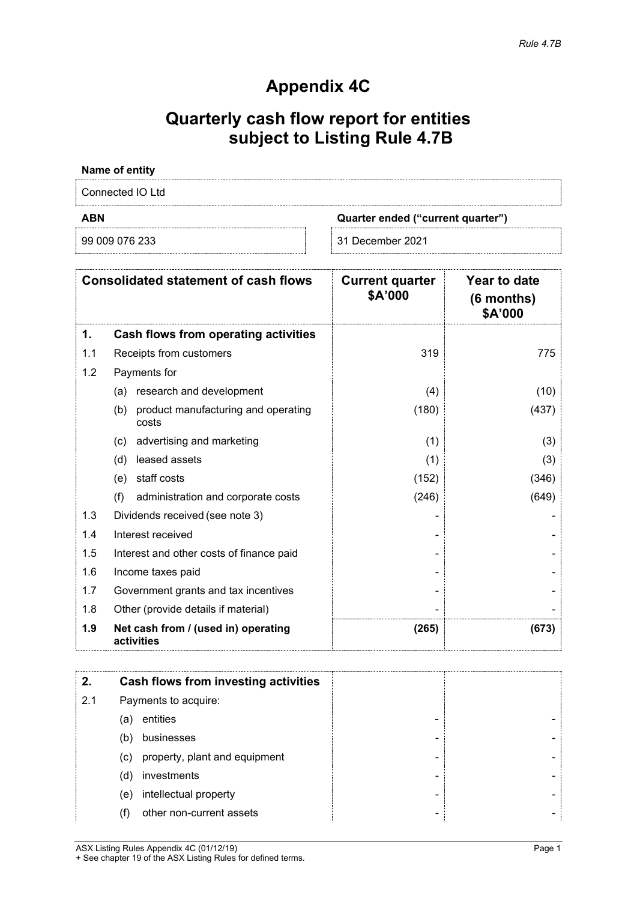## **Appendix 4C**

# **Quarterly cash flow report for entities subject to Listing Rule 4.7B**

## **Name of entity**

Connected IO Ltd

**ABN Quarter ended ("current quarter")**

99 009 076 233 31 December 2021

| <b>Consolidated statement of cash flows</b> |                                                     | <b>Current quarter</b><br>\$A'000 | Year to date<br>(6 months)<br>\$A'000 |
|---------------------------------------------|-----------------------------------------------------|-----------------------------------|---------------------------------------|
| 1.                                          | <b>Cash flows from operating activities</b>         |                                   |                                       |
| 1.1                                         | Receipts from customers                             | 319                               | 775                                   |
| 1.2                                         | Payments for                                        |                                   |                                       |
|                                             | research and development<br>(a)                     | (4)                               | (10)                                  |
|                                             | product manufacturing and operating<br>(b)<br>costs | (180)                             | (437)                                 |
|                                             | advertising and marketing<br>(c)                    | (1)                               | (3)                                   |
|                                             | leased assets<br>(d)                                | (1)                               | (3)                                   |
|                                             | staff costs<br>(e)                                  | (152)                             | (346)                                 |
|                                             | (f)<br>administration and corporate costs           | (246)                             | (649)                                 |
| 1.3                                         | Dividends received (see note 3)                     |                                   |                                       |
| 1.4                                         | Interest received                                   |                                   |                                       |
| 1.5                                         | Interest and other costs of finance paid            |                                   |                                       |
| 1.6                                         | Income taxes paid                                   |                                   |                                       |
| 1.7                                         | Government grants and tax incentives                |                                   |                                       |
| 1.8                                         | Other (provide details if material)                 |                                   |                                       |
| 1.9                                         | Net cash from / (used in) operating<br>activities   | (265)                             | (673)                                 |

| 2.  |     | Cash flows from investing activities |  |
|-----|-----|--------------------------------------|--|
| 2.1 |     | Payments to acquire:                 |  |
|     | (a) | entities                             |  |
|     | (b) | businesses                           |  |
|     | (c) | property, plant and equipment        |  |
|     | (d) | investments                          |  |
|     | (e) | intellectual property                |  |
|     |     | other non-current assets             |  |

ASX Listing Rules Appendix 4C (01/12/19) Page 1 + See chapter 19 of the ASX Listing Rules for defined terms.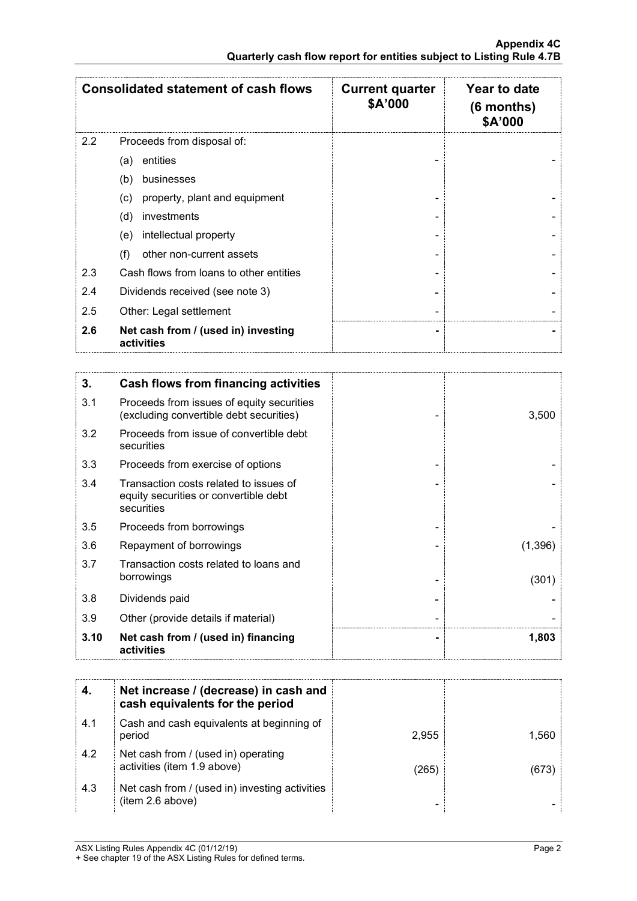| <b>Consolidated statement of cash flows</b> |                                                   | <b>Current quarter</b><br>\$A'000 | Year to date<br>$(6$ months)<br><b>\$A'000</b> |
|---------------------------------------------|---------------------------------------------------|-----------------------------------|------------------------------------------------|
| 2.2                                         | Proceeds from disposal of:                        |                                   |                                                |
|                                             | entities<br>(a)                                   |                                   |                                                |
|                                             | (b)<br>businesses                                 |                                   |                                                |
|                                             | property, plant and equipment<br>(c)              |                                   |                                                |
|                                             | (d)<br>investments                                |                                   |                                                |
|                                             | intellectual property<br>(e)                      |                                   |                                                |
|                                             | (f)<br>other non-current assets                   |                                   |                                                |
| 2.3                                         | Cash flows from loans to other entities           |                                   |                                                |
| 2.4                                         | Dividends received (see note 3)                   |                                   |                                                |
| 2.5                                         | Other: Legal settlement                           |                                   |                                                |
| 2.6                                         | Net cash from / (used in) investing<br>activities |                                   |                                                |

| 3.   | <b>Cash flows from financing activities</b>                                                   |          |
|------|-----------------------------------------------------------------------------------------------|----------|
| 3.1  | Proceeds from issues of equity securities<br>(excluding convertible debt securities)          | 3,500    |
| 3.2  | Proceeds from issue of convertible debt<br>securities                                         |          |
| 3.3  | Proceeds from exercise of options                                                             |          |
| 3.4  | Transaction costs related to issues of<br>equity securities or convertible debt<br>securities |          |
| 3.5  | Proceeds from borrowings                                                                      |          |
| 3.6  | Repayment of borrowings                                                                       | (1, 396) |
| 3.7  | Transaction costs related to loans and<br>borrowings                                          | (301)    |
| 3.8  | Dividends paid                                                                                |          |
| 3.9  | Other (provide details if material)                                                           |          |
| 3.10 | Net cash from / (used in) financing<br>activities                                             | 1,803    |

|     | Net increase / (decrease) in cash and<br>cash equivalents for the period |       |       |
|-----|--------------------------------------------------------------------------|-------|-------|
| 4.1 | Cash and cash equivalents at beginning of<br>period                      | 2,955 | 1.560 |
| 4.2 | Net cash from / (used in) operating<br>activities (item 1.9 above)       | (265` |       |
| 4.3 | Net cash from / (used in) investing activities<br>(item 2.6 above)       |       |       |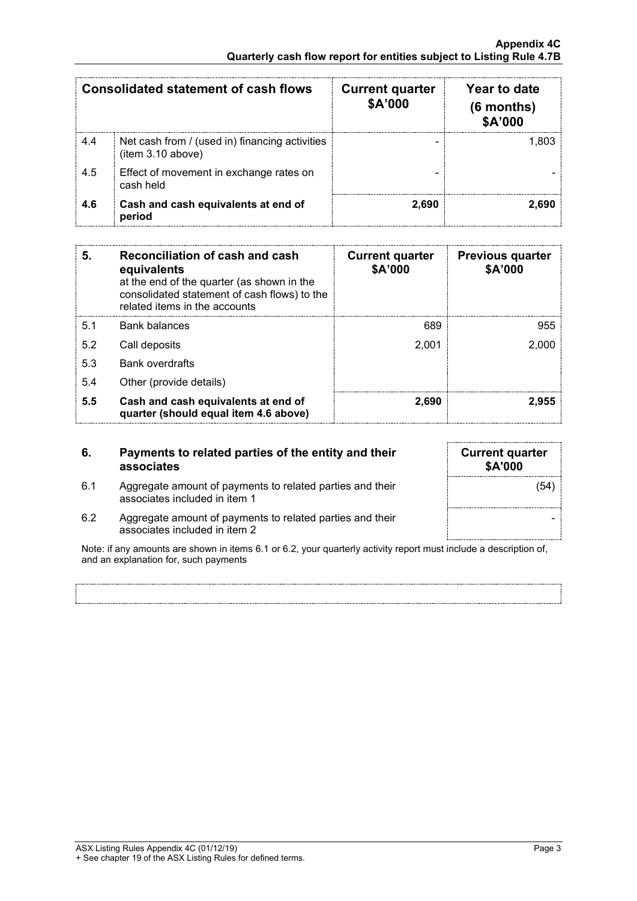| <b>Consolidated statement of cash flows</b> |                                                                     | <b>Current quarter</b><br><b>\$A'000</b> | Year to date<br>$(6$ months)<br>\$A'000 |
|---------------------------------------------|---------------------------------------------------------------------|------------------------------------------|-----------------------------------------|
| 4.4                                         | Net cash from / (used in) financing activities<br>(item 3.10 above) |                                          | 1 803                                   |
| 4.5                                         | Effect of movement in exchange rates on<br>cash held                |                                          |                                         |
| 4.6                                         | Cash and cash equivalents at end of<br>period                       | 2.690                                    | 2.690                                   |

| 5.  | Reconciliation of cash and cash<br>equivalents<br>at the end of the quarter (as shown in the<br>consolidated statement of cash flows) to the<br>related items in the accounts | <b>Current quarter</b><br>\$A'000 | <b>Previous quarter</b><br>\$A'000 |
|-----|-------------------------------------------------------------------------------------------------------------------------------------------------------------------------------|-----------------------------------|------------------------------------|
| 5.1 | Bank balances                                                                                                                                                                 | 689                               | 955                                |
| 5.2 | Call deposits                                                                                                                                                                 | 2.001                             | 2.000                              |
| 5.3 | <b>Bank overdrafts</b>                                                                                                                                                        |                                   |                                    |
| 5.4 | Other (provide details)                                                                                                                                                       |                                   |                                    |
| 5.5 | Cash and cash equivalents at end of<br>quarter (should equal item 4.6 above)                                                                                                  | 2,690                             | 2.955                              |

### **6. Payments to related parties of the entity and their associates**

- 6.1 Aggregate amount of payments to related parties and their associates included in item 1
- **Current quarter \$A'000** (54) -
- 6.2 Aggregate amount of payments to related parties and their associates included in item 2

Note: if any amounts are shown in items 6.1 or 6.2, your quarterly activity report must include a description of, and an explanation for, such payments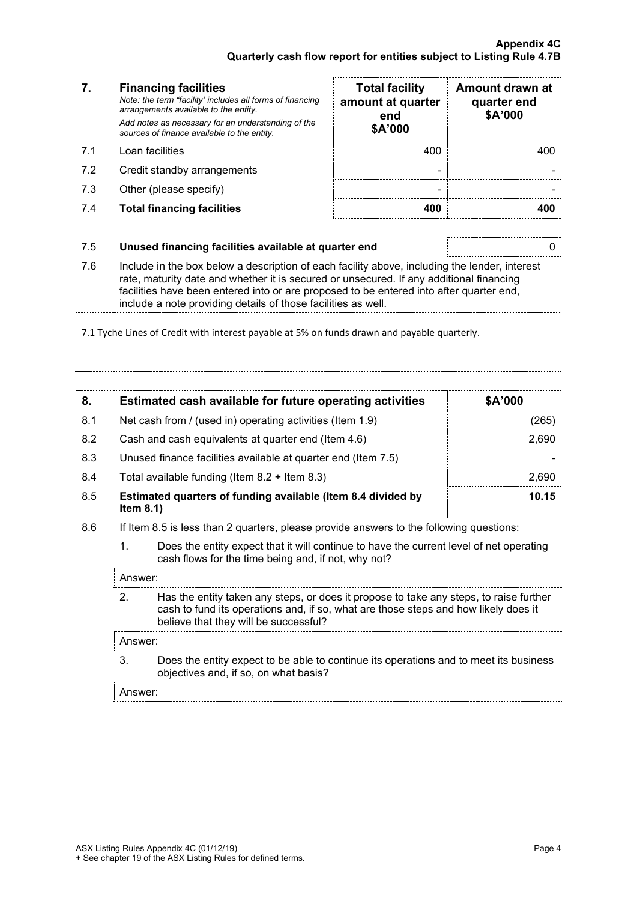### **7. Financing facilities**

- 
- 7.2 Credit standby arrangements
- 7.3 Other (please specify)
- 7.4 **Total financing facilities 400 400**

| 7.  | <b>Financing facilities</b><br>Note: the term "facility' includes all forms of financing<br>arrangements available to the entity.<br>Add notes as necessary for an understanding of the<br>sources of finance available to the entity. | <b>Total facility</b><br>amount at quarter<br>end<br>\$A'000 | Amount drawn at<br>quarter end<br>\$A'000 |
|-----|----------------------------------------------------------------------------------------------------------------------------------------------------------------------------------------------------------------------------------------|--------------------------------------------------------------|-------------------------------------------|
| 71  | Loan facilities                                                                                                                                                                                                                        | 400                                                          |                                           |
| 7.2 | Credit standby arrangements                                                                                                                                                                                                            |                                                              |                                           |
| 7.3 | Other (please specify)                                                                                                                                                                                                                 |                                                              |                                           |
| 7.4 | <b>Total financing facilities</b>                                                                                                                                                                                                      |                                                              |                                           |

### 7.5 **Unused financing facilities available at quarter end** 0

7.6 Include in the box below a description of each facility above, including the lender, interest rate, maturity date and whether it is secured or unsecured. If any additional financing facilities have been entered into or are proposed to be entered into after quarter end, include a note providing details of those facilities as well.

7.1 Tyche Lines of Credit with interest payable at 5% on funds drawn and payable quarterly.

|     | Estimated cash available for future operating activities                     | \$A'000 |
|-----|------------------------------------------------------------------------------|---------|
| 8.1 | Net cash from / (used in) operating activities (Item 1.9)                    | 265     |
| 8.2 | Cash and cash equivalents at quarter end (Item 4.6)                          | 2.690   |
| 8.3 | Unused finance facilities available at quarter end (Item 7.5)                |         |
| 8.4 | Total available funding (Item $8.2 +$ Item $8.3$ )                           | 2.690   |
| 8.5 | Estimated quarters of funding available (Item 8.4 divided by<br>Item $8.1$ ) | 10.15   |

8.6 If Item 8.5 is less than 2 quarters, please provide answers to the following questions:

1. Does the entity expect that it will continue to have the current level of net operating cash flows for the time being and, if not, why not?

Answer:

2. Has the entity taken any steps, or does it propose to take any steps, to raise further cash to fund its operations and, if so, what are those steps and how likely does it believe that they will be successful?

### Answer:

3. Does the entity expect to be able to continue its operations and to meet its business objectives and, if so, on what basis?

Answer: